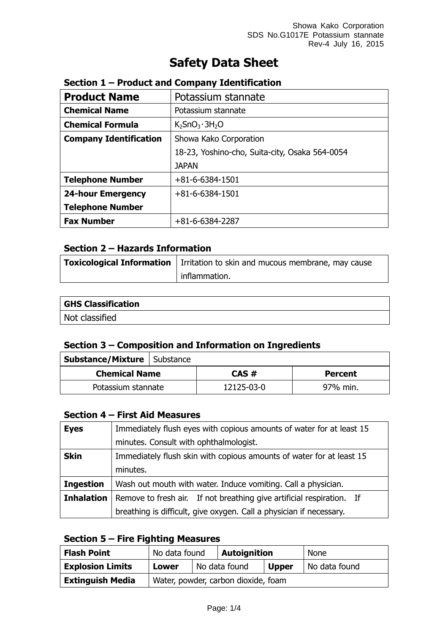# **Safety Data Sheet**

| <b>Product Name</b>           | Potassium stannate                             |  |
|-------------------------------|------------------------------------------------|--|
| <b>Chemical Name</b>          | Potassium stannate                             |  |
| <b>Chemical Formula</b>       | $K_2$ SnO <sub>3</sub> · 3H <sub>2</sub> O     |  |
| <b>Company Identification</b> | Showa Kako Corporation                         |  |
|                               | 18-23, Yoshino-cho, Suita-city, Osaka 564-0054 |  |
|                               | <b>JAPAN</b>                                   |  |
| <b>Telephone Number</b>       | $+81 - 6 - 6384 - 1501$                        |  |
| <b>24-hour Emergency</b>      | $+81 - 6 - 6384 - 1501$                        |  |
| <b>Telephone Number</b>       |                                                |  |
| <b>Fax Number</b>             | +81-6-6384-2287                                |  |

# **Section 1 – Product and Company Identification**

# **Section 2 – Hazards Information**

| Toxicological Information   Irritation to skin and mucous membrane, may cause |  |  |
|-------------------------------------------------------------------------------|--|--|
| inflammation.                                                                 |  |  |

| <b>GHS Classification</b> |  |
|---------------------------|--|
| Not classified            |  |

# **Section 3 – Composition and Information on Ingredients**

| <b>Substance/Mixture   Substance</b> |  |            |                |
|--------------------------------------|--|------------|----------------|
| <b>Chemical Name</b>                 |  | CAS#       | <b>Percent</b> |
| Potassium stannate                   |  | 12125-03-0 | 97% min.       |

#### **Section 4 – First Aid Measures**

| <b>Eyes</b>       | Immediately flush eyes with copious amounts of water for at least 15  |  |  |
|-------------------|-----------------------------------------------------------------------|--|--|
|                   | minutes. Consult with ophthalmologist.                                |  |  |
| <b>Skin</b>       | Immediately flush skin with copious amounts of water for at least 15  |  |  |
|                   | minutes.                                                              |  |  |
| <b>Ingestion</b>  | Wash out mouth with water. Induce vomiting. Call a physician.         |  |  |
| <b>Inhalation</b> | Remove to fresh air. If not breathing give artificial respiration. If |  |  |
|                   | breathing is difficult, give oxygen. Call a physician if necessary.   |  |  |

#### **Section 5 – Fire Fighting Measures**

| <b>Flash Point</b>      | No data found                       |  | <b>Autoignition</b> |              | <b>None</b>   |
|-------------------------|-------------------------------------|--|---------------------|--------------|---------------|
| <b>Explosion Limits</b> | <b>Lower</b>                        |  | No data found       | <b>Upper</b> | No data found |
| <b>Extinguish Media</b> | Water, powder, carbon dioxide, foam |  |                     |              |               |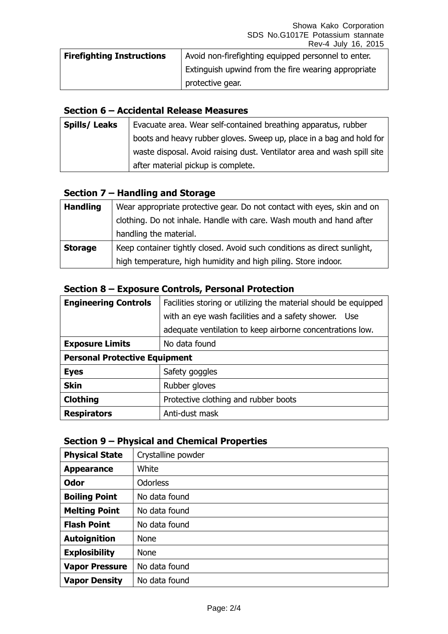| <b>Firefighting Instructions</b> | Avoid non-firefighting equipped personnel to enter. |
|----------------------------------|-----------------------------------------------------|
|                                  | Extinguish upwind from the fire wearing appropriate |
|                                  | protective gear.                                    |

#### **Section 6 – Accidental Release Measures**

| <b>Spills/Leaks</b> | Evacuate area. Wear self-contained breathing apparatus, rubber          |  |  |
|---------------------|-------------------------------------------------------------------------|--|--|
|                     | boots and heavy rubber gloves. Sweep up, place in a bag and hold for    |  |  |
|                     | waste disposal. Avoid raising dust. Ventilator area and wash spill site |  |  |
|                     | after material pickup is complete.                                      |  |  |

# **Section 7 – Handling and Storage**

| <b>Handling</b> | Wear appropriate protective gear. Do not contact with eyes, skin and on  |  |  |
|-----------------|--------------------------------------------------------------------------|--|--|
|                 | clothing. Do not inhale. Handle with care. Wash mouth and hand after     |  |  |
|                 | handling the material.                                                   |  |  |
| <b>Storage</b>  | Keep container tightly closed. Avoid such conditions as direct sunlight, |  |  |
|                 | high temperature, high humidity and high piling. Store indoor.           |  |  |

# **Section 8 – Exposure Controls, Personal Protection**

| <b>Engineering Controls</b>          | Facilities storing or utilizing the material should be equipped |  |  |
|--------------------------------------|-----------------------------------------------------------------|--|--|
|                                      | with an eye wash facilities and a safety shower. Use            |  |  |
|                                      | adequate ventilation to keep airborne concentrations low.       |  |  |
| <b>Exposure Limits</b>               | No data found                                                   |  |  |
| <b>Personal Protective Equipment</b> |                                                                 |  |  |
| <b>Eyes</b>                          | Safety goggles                                                  |  |  |
| <b>Skin</b>                          | Rubber gloves                                                   |  |  |
| <b>Clothing</b>                      | Protective clothing and rubber boots                            |  |  |
| <b>Respirators</b>                   | Anti-dust mask                                                  |  |  |

#### **Section 9 – Physical and Chemical Properties**

| <b>Physical State</b> | Crystalline powder |
|-----------------------|--------------------|
| <b>Appearance</b>     | White              |
| <b>Odor</b>           | <b>Odorless</b>    |
| <b>Boiling Point</b>  | No data found      |
| <b>Melting Point</b>  | No data found      |
| <b>Flash Point</b>    | No data found      |
| <b>Autoignition</b>   | <b>None</b>        |
| <b>Explosibility</b>  | <b>None</b>        |
| <b>Vapor Pressure</b> | No data found      |
| <b>Vapor Density</b>  | No data found      |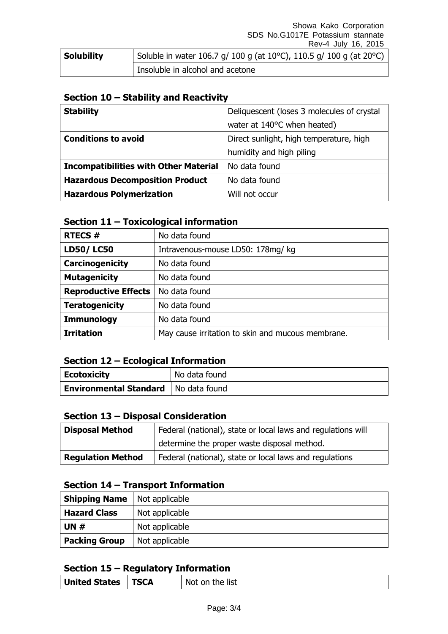| <b>Solubility</b> | Soluble in water 106.7 g/ 100 g (at 10°C), 110.5 g/ 100 g (at 20°C) |
|-------------------|---------------------------------------------------------------------|
|                   | Insoluble in alcohol and acetone                                    |

#### **Section 10 – Stability and Reactivity**

| <b>Stability</b>                             | Deliquescent (loses 3 molecules of crystal |
|----------------------------------------------|--------------------------------------------|
|                                              | water at 140°C when heated)                |
| <b>Conditions to avoid</b>                   | Direct sunlight, high temperature, high    |
|                                              | humidity and high piling                   |
| <b>Incompatibilities with Other Material</b> | No data found                              |
| <b>Hazardous Decomposition Product</b>       | No data found                              |
| <b>Hazardous Polymerization</b>              | Will not occur                             |

# **Section 11 – Toxicological information**

| <b>RTECS#</b>               | No data found                                     |  |
|-----------------------------|---------------------------------------------------|--|
| <b>LD50/LC50</b>            | Intravenous-mouse LD50: 178mg/ kg                 |  |
| Carcinogenicity             | No data found                                     |  |
| <b>Mutagenicity</b>         | No data found                                     |  |
| <b>Reproductive Effects</b> | No data found                                     |  |
| <b>Teratogenicity</b>       | No data found                                     |  |
| <b>Immunology</b>           | No data found                                     |  |
| <b>Irritation</b>           | May cause irritation to skin and mucous membrane. |  |

#### **Section 12 – Ecological Information**

| Ecotoxicity                            | No data found |
|----------------------------------------|---------------|
| Environmental Standard   No data found |               |

#### **Section 13 – Disposal Consideration**

| <b>Disposal Method</b>   | Federal (national), state or local laws and regulations will |  |
|--------------------------|--------------------------------------------------------------|--|
|                          | determine the proper waste disposal method.                  |  |
| <b>Regulation Method</b> | Federal (national), state or local laws and regulations      |  |

# **Section 14 – Transport Information**

| <b>Shipping Name</b> | Not applicable |
|----------------------|----------------|
| <b>Hazard Class</b>  | Not applicable |
| UN $#$               | Not applicable |
| <b>Packing Group</b> | Not applicable |

# **Section 15 – Regulatory Information**

|--|